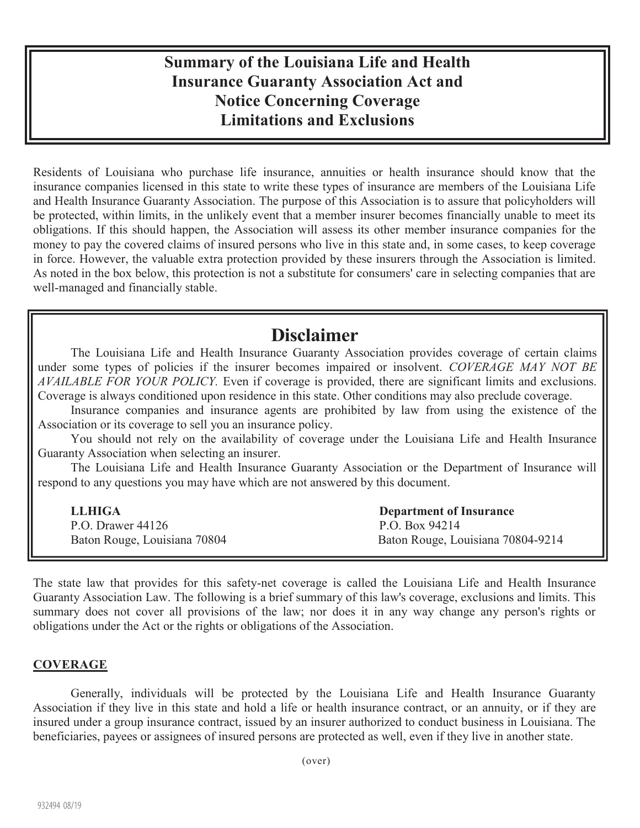## **Summary of the Louisiana Life and Health Insurance Guaranty Association Act and Notice Concerning Coverage Limitations and Exclusions**

Residents of Louisiana who purchase life insurance, annuities or health insurance should know that the insurance companies licensed in this state to write these types of insurance are members of the Louisiana Life and Health Insurance Guaranty Association. The purpose of this Association is to assure that policyholders will be protected, within limits, in the unlikely event that a member insurer becomes financially unable to meet its obligations. If this should happen, the Association will assess its other member insurance companies for the money to pay the covered claims of insured persons who live in this state and, in some cases, to keep coverage in force. However, the valuable extra protection provided by these insurers through the Association is limited. As noted in the box below, this protection is not a substitute for consumers' care in selecting companies that are well-managed and financially stable.

# **Disclaimer**

The Louisiana Life and Health Insurance Guaranty Association provides coverage of certain claims under some types of policies if the insurer becomes impaired or insolvent. *COVERAGE MAY NOT BE AVAILABLE FOR YOUR POLICY.* Even if coverage is provided, there are significant limits and exclusions. Coverage is always conditioned upon residence in this state. Other conditions may also preclude coverage.

Insurance companies and insurance agents are prohibited by law from using the existence of the Association or its coverage to sell you an insurance policy.

You should not rely on the availability of coverage under the Louisiana Life and Health Insurance Guaranty Association when selecting an insurer.

The Louisiana Life and Health Insurance Guaranty Association or the Department of Insurance will respond to any questions you may have which are not answered by this document.

| <b>LLHIGA</b>                | <b>Department of Insurance</b>    |
|------------------------------|-----------------------------------|
| P.O. Drawer 44126            | P.O. Box 94214                    |
| Baton Rouge, Louisiana 70804 | Baton Rouge, Louisiana 70804-9214 |

The state law that provides for this safety-net coverage is called the Louisiana Life and Health Insurance Guaranty Association Law. The following is a brief summary of this law's coverage, exclusions and limits. This summary does not cover all provisions of the law; nor does it in any way change any person's rights or obligations under the Act or the rights or obligations of the Association.

### **COVERAGE**

Generally, individuals will be protected by the Louisiana Life and Health Insurance Guaranty Association if they live in this state and hold a life or health insurance contract, or an annuity, or if they are insured under a group insurance contract, issued by an insurer authorized to conduct business in Louisiana. The beneficiaries, payees or assignees of insured persons are protected as well, even if they live in another state.